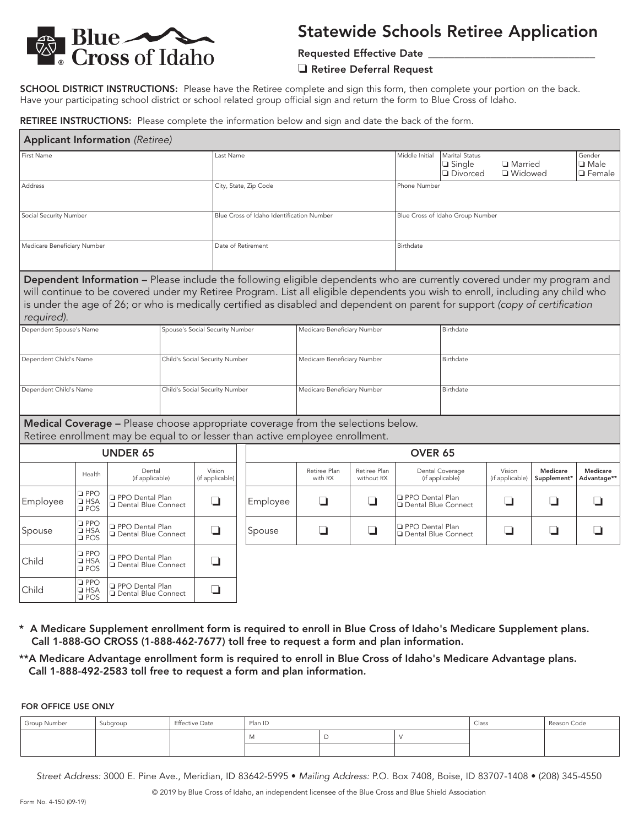

# Statewide Schools Retiree Application

Requested Effective Date

#### ❏ Retiree Deferral Request

SCHOOL DISTRICT INSTRUCTIONS: Please have the Retiree complete and sign this form, then complete your portion on the back. Have your participating school district or school related group official sign and return the form to Blue Cross of Idaho.

RETIREE INSTRUCTIONS: Please complete the information below and sign and date the back of the form.

| <b>Applicant Information (Retiree)</b>                                                                                                                            |                                              |                                                        |                                 |                             |                                           |                             |                                                                                                                                                                                                                                                                                                                                                                                           |                                                    |                                                          |                                    |                                        |                         |                         |  |
|-------------------------------------------------------------------------------------------------------------------------------------------------------------------|----------------------------------------------|--------------------------------------------------------|---------------------------------|-----------------------------|-------------------------------------------|-----------------------------|-------------------------------------------------------------------------------------------------------------------------------------------------------------------------------------------------------------------------------------------------------------------------------------------------------------------------------------------------------------------------------------------|----------------------------------------------------|----------------------------------------------------------|------------------------------------|----------------------------------------|-------------------------|-------------------------|--|
| First Name                                                                                                                                                        |                                              |                                                        |                                 | Last Name                   |                                           |                             | Middle Initial                                                                                                                                                                                                                                                                                                                                                                            | Marital Status<br>$\Box$ Single<br><b>Divorced</b> | □ Married<br>□ Widowed                                   |                                    | Gender<br>$\Box$ Male<br>$\Box$ Female |                         |                         |  |
| Address                                                                                                                                                           |                                              |                                                        |                                 |                             | City, State, Zip Code                     |                             |                                                                                                                                                                                                                                                                                                                                                                                           |                                                    | Phone Number                                             |                                    |                                        |                         |                         |  |
| Social Security Number                                                                                                                                            |                                              |                                                        |                                 |                             | Blue Cross of Idaho Identification Number |                             |                                                                                                                                                                                                                                                                                                                                                                                           | Blue Cross of Idaho Group Number                   |                                                          |                                    |                                        |                         |                         |  |
| Medicare Beneficiary Number                                                                                                                                       |                                              |                                                        |                                 |                             | Date of Retirement                        |                             |                                                                                                                                                                                                                                                                                                                                                                                           | Birthdate                                          |                                                          |                                    |                                        |                         |                         |  |
| required).                                                                                                                                                        |                                              |                                                        |                                 |                             |                                           |                             | Dependent Information - Please include the following eligible dependents who are currently covered under my program and<br>will continue to be covered under my Retiree Program. List all eligible dependents you wish to enroll, including any child who<br>is under the age of 26; or who is medically certified as disabled and dependent on parent for support (copy of certification |                                                    |                                                          |                                    |                                        |                         |                         |  |
| Dependent Spouse's Name                                                                                                                                           |                                              |                                                        | Spouse's Social Security Number |                             |                                           | Medicare Beneficiary Number |                                                                                                                                                                                                                                                                                                                                                                                           |                                                    | Birthdate                                                |                                    |                                        |                         |                         |  |
| Dependent Child's Name<br>Child's Social Security Number                                                                                                          |                                              |                                                        |                                 |                             |                                           | Medicare Beneficiary Number |                                                                                                                                                                                                                                                                                                                                                                                           |                                                    | Birthdate                                                |                                    |                                        |                         |                         |  |
| Dependent Child's Name<br>Child's Social Security Number                                                                                                          |                                              |                                                        |                                 | Medicare Beneficiary Number |                                           |                             |                                                                                                                                                                                                                                                                                                                                                                                           | Birthdate                                          |                                                          |                                    |                                        |                         |                         |  |
| Medical Coverage - Please choose appropriate coverage from the selections below.<br>Retiree enrollment may be equal to or lesser than active employee enrollment. |                                              |                                                        |                                 |                             |                                           |                             |                                                                                                                                                                                                                                                                                                                                                                                           |                                                    |                                                          |                                    |                                        |                         |                         |  |
| <b>UNDER 65</b>                                                                                                                                                   |                                              |                                                        |                                 |                             | OVER 65                                   |                             |                                                                                                                                                                                                                                                                                                                                                                                           |                                                    |                                                          |                                    |                                        |                         |                         |  |
|                                                                                                                                                                   | Health                                       | Dental<br>(if applicable)                              |                                 | Vision<br>(if applicable)   |                                           |                             | Retiree Plan<br>with RX                                                                                                                                                                                                                                                                                                                                                                   | Retiree Plan<br>without RX                         |                                                          | Dental Coverage<br>(if applicable) | Vision<br>(if applicable)              | Medicare<br>Supplement* | Medicare<br>Advantage** |  |
| Employee                                                                                                                                                          | $\Box$ PPO<br>⊟ HSA<br>⊟ POS                 | □ PPO Dental Plan                                      | □ Dental Blue Connect           |                             |                                           | Employee                    | H                                                                                                                                                                                                                                                                                                                                                                                         | ⊔                                                  | <b>Q</b> PPO Dental Plan<br><b>Q</b> Dental Blue Connect |                                    | ❏                                      | ப                       | ⊔                       |  |
| Spouse                                                                                                                                                            | $\square$ PPO<br>$\square$ HSA<br>$\Box$ POS | <b>PPO Dental Plan</b><br>Dental Blue Connect          |                                 | ❏                           |                                           | Spouse                      | □                                                                                                                                                                                                                                                                                                                                                                                         | ❏                                                  | PPO Dental Plan<br>Dental Blue Connect                   |                                    | ❏                                      | □                       | ⊔                       |  |
| Child                                                                                                                                                             | $\square$ PPO<br>$\square$ HSA<br>$\Box$ POS | <b>PPO Dental Plan</b><br><b>Q</b> Dental Blue Connect |                                 | ❏                           |                                           |                             |                                                                                                                                                                                                                                                                                                                                                                                           |                                                    |                                                          |                                    |                                        |                         |                         |  |
| Child                                                                                                                                                             | $\square$ PPO<br>$\square$ HSA<br>$\Box$ POS | □ PPO Dental Plan<br>□ Dental Blue Connect             |                                 | ❏                           |                                           |                             |                                                                                                                                                                                                                                                                                                                                                                                           |                                                    |                                                          |                                    |                                        |                         |                         |  |

- \* A Medicare Supplement enrollment form is required to enroll in Blue Cross of Idaho's Medicare Supplement plans. Call 1-888-GO CROSS (1-888-462-7677) toll free to request a form and plan information.
- \*\*A Medicare Advantage enrollment form is required to enroll in Blue Cross of Idaho's Medicare Advantage plans. Call 1-888-492-2583 toll free to request a form and plan information.

FOR OFFICE USE ONLY

| Group Number | Subgroup | <b>Effective Date</b> | Plan ID |  |  | Class | Reason Code |
|--------------|----------|-----------------------|---------|--|--|-------|-------------|
|              |          |                       | .       |  |  |       |             |
|              |          |                       |         |  |  |       |             |

*Street Address:* 3000 E. Pine Ave., Meridian, ID 83642-5995 • *Mailing Address:* P.O. Box 7408, Boise, ID 83707-1408 • (208) 345-4550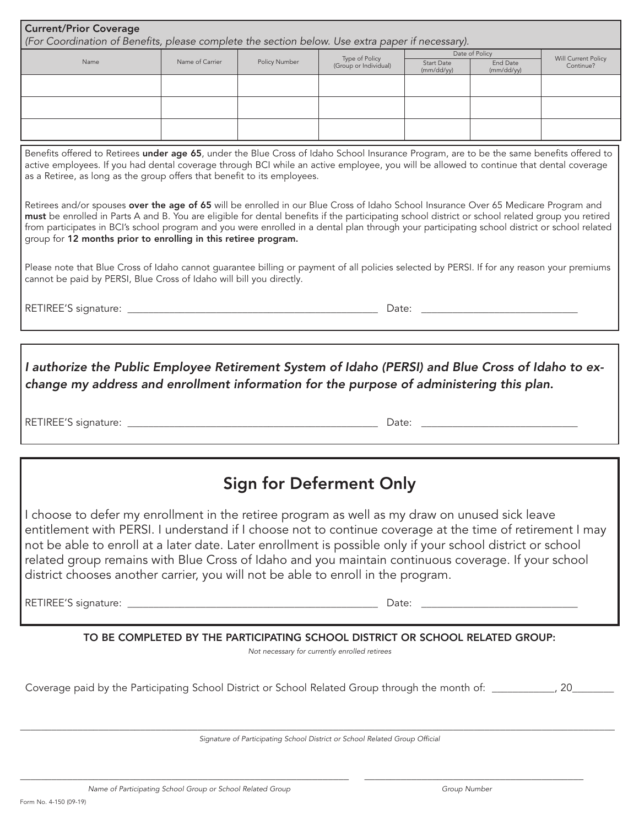| <b>Current/Prior Coverage</b><br>(For Coordination of Benefits, please complete the section below. Use extra paper if necessary).                                                                                                                                                                                                                                                                                                                                                                                                                                                                                                                                                                                                                                                                             |                 |               |                                         |            |                            |                                  |  |  |  |  |
|---------------------------------------------------------------------------------------------------------------------------------------------------------------------------------------------------------------------------------------------------------------------------------------------------------------------------------------------------------------------------------------------------------------------------------------------------------------------------------------------------------------------------------------------------------------------------------------------------------------------------------------------------------------------------------------------------------------------------------------------------------------------------------------------------------------|-----------------|---------------|-----------------------------------------|------------|----------------------------|----------------------------------|--|--|--|--|
| Name                                                                                                                                                                                                                                                                                                                                                                                                                                                                                                                                                                                                                                                                                                                                                                                                          | Name of Carrier | Policy Number | Type of Policy<br>(Group or Individual) | Start Date | Date of Policy<br>End Date | Will Current Policy<br>Continue? |  |  |  |  |
|                                                                                                                                                                                                                                                                                                                                                                                                                                                                                                                                                                                                                                                                                                                                                                                                               |                 |               |                                         | (mm/dd/yy) | (mm/dd/yy)                 |                                  |  |  |  |  |
|                                                                                                                                                                                                                                                                                                                                                                                                                                                                                                                                                                                                                                                                                                                                                                                                               |                 |               |                                         |            |                            |                                  |  |  |  |  |
|                                                                                                                                                                                                                                                                                                                                                                                                                                                                                                                                                                                                                                                                                                                                                                                                               |                 |               |                                         |            |                            |                                  |  |  |  |  |
|                                                                                                                                                                                                                                                                                                                                                                                                                                                                                                                                                                                                                                                                                                                                                                                                               |                 |               |                                         |            |                            |                                  |  |  |  |  |
| Benefits offered to Retirees under age 65, under the Blue Cross of Idaho School Insurance Program, are to be the same benefits offered to<br>active employees. If you had dental coverage through BCI while an active employee, you will be allowed to continue that dental coverage<br>as a Retiree, as long as the group offers that benefit to its employees.<br>Retirees and/or spouses over the age of 65 will be enrolled in our Blue Cross of Idaho School Insurance Over 65 Medicare Program and<br>must be enrolled in Parts A and B. You are eligible for dental benefits if the participating school district or school related group you retired<br>from participates in BCI's school program and you were enrolled in a dental plan through your participating school district or school related |                 |               |                                         |            |                            |                                  |  |  |  |  |
| group for 12 months prior to enrolling in this retiree program.                                                                                                                                                                                                                                                                                                                                                                                                                                                                                                                                                                                                                                                                                                                                               |                 |               |                                         |            |                            |                                  |  |  |  |  |
| Please note that Blue Cross of Idaho cannot guarantee billing or payment of all policies selected by PERSI. If for any reason your premiums<br>cannot be paid by PERSI, Blue Cross of Idaho will bill you directly.                                                                                                                                                                                                                                                                                                                                                                                                                                                                                                                                                                                           |                 |               |                                         |            |                            |                                  |  |  |  |  |
|                                                                                                                                                                                                                                                                                                                                                                                                                                                                                                                                                                                                                                                                                                                                                                                                               |                 |               |                                         |            |                            |                                  |  |  |  |  |
|                                                                                                                                                                                                                                                                                                                                                                                                                                                                                                                                                                                                                                                                                                                                                                                                               |                 |               |                                         |            |                            |                                  |  |  |  |  |
| I authorize the Public Employee Retirement System of Idaho (PERSI) and Blue Cross of Idaho to ex-<br>change my address and enrollment information for the purpose of administering this plan.                                                                                                                                                                                                                                                                                                                                                                                                                                                                                                                                                                                                                 |                 |               |                                         |            |                            |                                  |  |  |  |  |
| <b>Sign for Deferment Only</b>                                                                                                                                                                                                                                                                                                                                                                                                                                                                                                                                                                                                                                                                                                                                                                                |                 |               |                                         |            |                            |                                  |  |  |  |  |
| I choose to defer my enrollment in the retiree program as well as my draw on unused sick leave<br>entitlement with PERSI. I understand if I choose not to continue coverage at the time of retirement I may<br>not be able to enroll at a later date. Later enrollment is possible only if your school district or school<br>related group remains with Blue Cross of Idaho and you maintain continuous coverage. If your school<br>district chooses another carrier, you will not be able to enroll in the program.                                                                                                                                                                                                                                                                                          |                 |               |                                         |            |                            |                                  |  |  |  |  |
|                                                                                                                                                                                                                                                                                                                                                                                                                                                                                                                                                                                                                                                                                                                                                                                                               |                 |               |                                         |            |                            |                                  |  |  |  |  |
| TO BE COMPLETED BY THE PARTICIPATING SCHOOL DISTRICT OR SCHOOL RELATED GROUP:<br>Not necessary for currently enrolled retirees                                                                                                                                                                                                                                                                                                                                                                                                                                                                                                                                                                                                                                                                                |                 |               |                                         |            |                            |                                  |  |  |  |  |
| Coverage paid by the Participating School District or School Related Group through the month of: __________, 20__                                                                                                                                                                                                                                                                                                                                                                                                                                                                                                                                                                                                                                                                                             |                 |               |                                         |            |                            |                                  |  |  |  |  |
| Signature of Participating School District or School Related Group Official                                                                                                                                                                                                                                                                                                                                                                                                                                                                                                                                                                                                                                                                                                                                   |                 |               |                                         |            |                            |                                  |  |  |  |  |

\_\_\_\_\_\_\_\_\_\_\_\_\_\_\_\_\_\_\_\_\_\_\_\_\_\_\_\_\_\_\_\_\_\_\_\_\_\_\_\_\_\_\_\_\_\_\_\_\_\_\_\_\_\_\_\_\_\_\_\_\_\_\_ \_\_\_\_\_\_\_\_\_\_\_\_\_\_\_\_\_\_\_\_\_\_\_\_\_\_\_\_\_\_\_\_\_\_\_\_\_\_\_\_\_\_